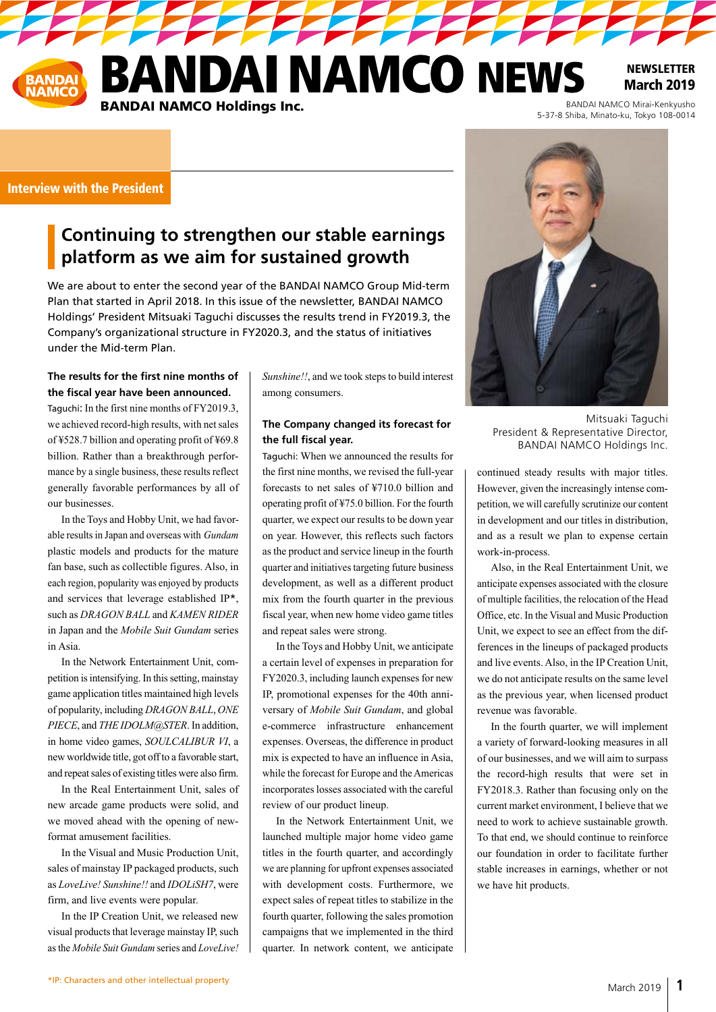DAI NAMCO NEWS BANDAI NAMCO Mirai-Kenkyusho<br>5-37-8 Shiba, Minato-ku, Tokyo 108-0014 **BANDAI NAMCO Holdings Inc.** 

**1111111** 

**NEWSLETTER** March 2019

# Interview with the President

# **Continuing to strengthen our stable earnings platform as we aim for sustained growth**

We are about to enter the second year of the BANDAI NAMCO Group Mid-term Plan that started in April 2018. In this issue of the newsletter, BANDAI NAMCO Holdings' President Mitsuaki Taguchi discusses the results trend in FY2019.3, the Company's organizational structure in FY2020.3, and the status of initiatives under the Mid-term Plan.

## **The results for the first nine months of the fiscal year have been announced.**

Taguchi: In the first nine months of FY2019.3, we achieved record-high results, with net sales of ¥528.7 billion and operating profit of ¥69.8 billion. Rather than a breakthrough performance by a single business, these results reflect generally favorable performances by all of our businesses.

In the Toys and Hobby Unit, we had favorable results in Japan and overseas with *Gundam* plastic models and products for the mature fan base, such as collectible figures. Also, in each region, popularity was enjoyed by products and services that leverage established IP\*, such as *DRAGON BALL* and *KAMEN RIDER* in Japan and the *Mobile Suit Gundam* series in Asia.

In the Network Entertainment Unit, competition is intensifying. In this setting, mainstay game application titles maintained high levels of popularity, including *DRAGON BALL*, *ONE PIECE*, and *THE IDOLM@STER*. In addition, in home video games, *SOULCALIBUR VI*, a new worldwide title, got off to a favorable start, and repeat sales of existing titles were also firm.

In the Real Entertainment Unit, sales of new arcade game products were solid, and we moved ahead with the opening of newformat amusement facilities.

In the Visual and Music Production Unit, sales of mainstay IP packaged products, such as *LoveLive! Sunshine!!* and *IDOLiSH7*, were firm, and live events were popular.

In the IP Creation Unit, we released new visual products that leverage mainstay IP, such as the *Mobile Suit Gundam* series and *LoveLive!*  *Sunshine!!*, and we took steps to build interest among consumers.

#### **The Company changed its forecast for the full fiscal year.**

Taguchi: When we announced the results for the first nine months, we revised the full-year forecasts to net sales of ¥710.0 billion and operating profit of ¥75.0 billion. For the fourth quarter, we expect our results to be down year on year. However, this reflects such factors as the product and service lineup in the fourth quarter and initiatives targeting future business development, as well as a different product mix from the fourth quarter in the previous fiscal year, when new home video game titles and repeat sales were strong.

In the Toys and Hobby Unit, we anticipate a certain level of expenses in preparation for FY2020.3, including launch expenses for new IP, promotional expenses for the 40th anniversary of *Mobile Suit Gundam*, and global e-commerce infrastructure enhancement expenses. Overseas, the difference in product mix is expected to have an influence in Asia, while the forecast for Europe and the Americas incorporates losses associated with the careful review of our product lineup.

In the Network Entertainment Unit, we launched multiple major home video game titles in the fourth quarter, and accordingly we are planning for upfront expenses associated with development costs. Furthermore, we expect sales of repeat titles to stabilize in the fourth quarter, following the sales promotion campaigns that we implemented in the third quarter. In network content, we anticipate



Mitsuaki Taguchi President & Representative Director, BANDAI NAMCO Holdings Inc.

continued steady results with major titles. However, given the increasingly intense competition, we will carefully scrutinize our content in development and our titles in distribution, and as a result we plan to expense certain work-in-process.

Also, in the Real Entertainment Unit, we anticipate expenses associated with the closure of multiple facilities, the relocation of the Head Office, etc. In the Visual and Music Production Unit, we expect to see an effect from the differences in the lineups of packaged products and live events. Also, in the IP Creation Unit, we do not anticipate results on the same level as the previous year, when licensed product revenue was favorable.

In the fourth quarter, we will implement a variety of forward-looking measures in all of our businesses, and we will aim to surpass the record-high results that were set in FY2018.3. Rather than focusing only on the current market environment, I believe that we need to work to achieve sustainable growth. To that end, we should continue to reinforce our foundation in order to facilitate further stable increases in earnings, whether or not we have hit products.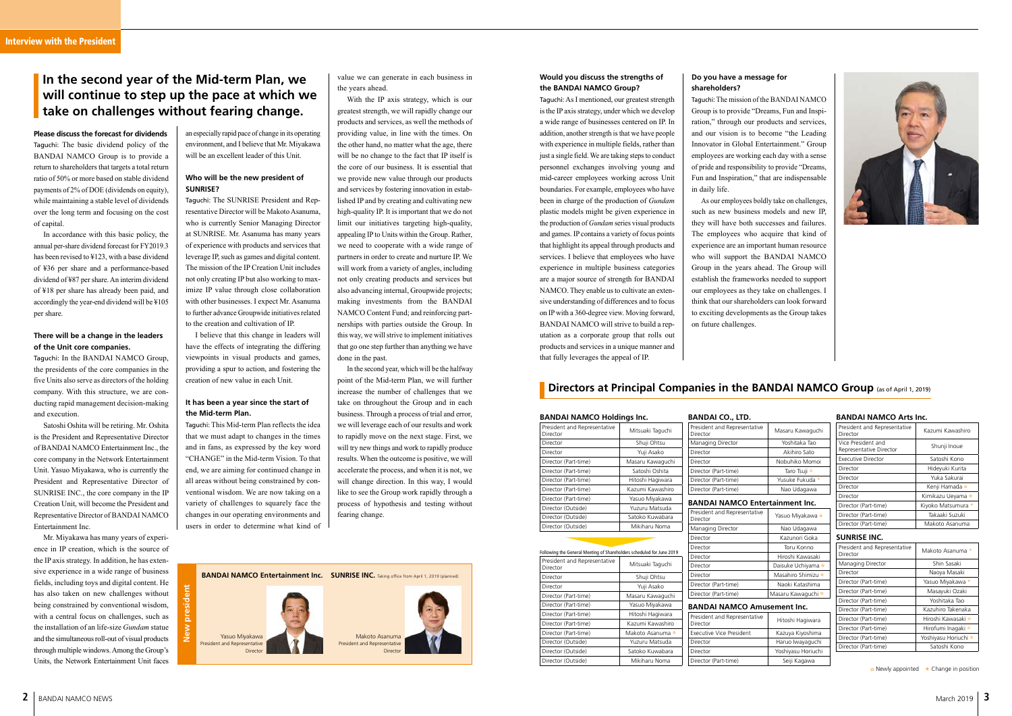value we can generate in each business in the years ahead.

With the IP axis strategy, which is our greatest strength, we will rapidly change our products and services, as well the methods of providing value, in line with the times. On the other hand, no matter what the age, there will be no change to the fact that IP itself is the core of our business. It is essential that we provide new value through our products and services by fostering innovation in established IP and by creating and cultivating new high-quality IP. It is important that we do not limit our initiatives targeting high-quality, appealing IP to Units within the Group. Rather, we need to cooperate with a wide range of partners in order to create and nurture IP. We will work from a variety of angles, including not only creating products and services but also advancing internal, Groupwide projects; making investments from the BANDAI NAMCO Content Fund; and reinforcing partnerships with parties outside the Group. In this way, we will strive to implement initiatives that go one step further than anything we have done in the past.

In the second year, which will be the halfway point of the Mid-term Plan, we will further increase the number of challenges that we take on throughout the Group and in each business. Through a process of trial and error, we will leverage each of our results and work to rapidly move on the next stage. First, we will try new things and work to rapidly produce results. When the outcome is positive, we will accelerate the process, and when it is not, we will change direction. In this way, I would like to see the Group work rapidly through a process of hypothesis and testing without fearing change.

**Please discuss the forecast for dividends** Taguchi: The basic dividend policy of the BANDAI NAMCO Group is to provide a return to shareholders that targets a total return ratio of 50% or more based on stable dividend payments of 2% of DOE (dividends on equity), while maintaining a stable level of dividends over the long term and focusing on the cost of capital.

In accordance with this basic policy, the annual per-share dividend forecast for FY2019.3 has been revised to ¥123, with a base dividend of ¥36 per share and a performance-based dividend of ¥87 per share. An interim dividend of ¥18 per share has already been paid, and accordingly the year-end dividend will be ¥105 per share.

#### **There will be a change in the leaders of the Unit core companies.**

Taguchi: In the BANDAI NAMCO Group, the presidents of the core companies in the five Units also serve as directors of the holding company. With this structure, we are conducting rapid management decision-making and execution.

Satoshi Oshita will be retiring. Mr. Oshita is the President and Representative Director of BANDAI NAMCO Entertainment Inc., the core company in the Network Entertainment Unit. Yasuo Miyakawa, who is currently the President and Representative Director of SUNRISE INC., the core company in the IP Creation Unit, will become the President and Representative Director of BANDAI NAMCO Entertainment Inc.

Mr. Miyakawa has many years of experience in IP creation, which is the source of the IP axis strategy. In addition, he has extensive experience in a wide range of business fields, including toys and digital content. He has also taken on new challenges without being constrained by conventional wisdom, with a central focus on challenges, such as the installation of an life-size *Gundam* statue and the simultaneous roll-out of visual products through multiple windows. Among the Group's Units, the Network Entertainment Unit faces

an especially rapid pace of change in its operating environment, and I believe that Mr. Miyakawa will be an excellent leader of this Unit.

## **Who will be the new president of SUNRISE?**

Taguchi: The SUNRISE President and Representative Director will be Makoto Asanuma, who is currently Senior Managing Director at SUNRISE. Mr. Asanuma has many years of experience with products and services that leverage IP, such as games and digital content. The mission of the IP Creation Unit includes not only creating IP but also working to maximize IP value through close collaboration with other businesses. I expect Mr. Asanuma to further advance Groupwide initiatives related to the creation and cultivation of IP.

I believe that this change in leaders will have the effects of integrating the differing viewpoints in visual products and games, providing a spur to action, and fostering the creation of new value in each Unit.

#### **It has been a year since the start of the Mid-term Plan.**

Taguchi: This Mid-term Plan reflects the idea that we must adapt to changes in the times and in fans, as expressed by the key word "CHANGE" in the Mid-term Vision. To that end, we are aiming for continued change in all areas without being constrained by conventional wisdom. We are now taking on a variety of challenges to squarely face the changes in our operating environments and users in order to determine what kind of

# **In the second year of the Mid-term Plan, we will continue to step up the pace at which we take on challenges without fearing change.**

# **Would you discuss the strengths of the BANDAI NAMCO Group?**

Taguchi: As I mentioned, our greatest strength is the IP axis strategy, under which we develop a wide range of businesses centered on IP. In addition, another strength is that we have people with experience in multiple fields, rather than just a single field. We are taking steps to conduct personnel exchanges involving young and mid-career employees working across Unit boundaries. For example, employees who have been in charge of the production of *Gundam* plastic models might be given experience in the production of *Gundam* series visual products and games. IP contains a variety of focus points that highlight its appeal through products and services. I believe that employees who have experience in multiple business categories are a major source of strength for BANDAI NAMCO. They enable us to cultivate an extensive understanding of differences and to focus on IP with a 360-degree view. Moving forward, BANDAI NAMCO will strive to build a reputation as a corporate group that rolls out products and services in a unique manner and that fully leverages the appeal of IP.

# **Do you have a message for shareholders?**

Taguchi: The mission of the BANDAI NAMCO Group is to provide "Dreams, Fun and Inspiration," through our products and services, and our vision is to become "the Leading Innovator in Global Entertainment." Group employees are working each day with a sense of pride and responsibility to provide "Dreams, Fun and Inspiration," that are indispensable in daily life.

As our employees boldly take on challenges, such as new business models and new IP, they will have both successes and failures. The employees who acquire that kind of experience are an important human resource who will support the BANDAI NAMCO Group in the years ahead. The Group will establish the frameworks needed to support our employees as they take on challenges. I think that our shareholders can look forward to exciting developments as the Group takes on future challenges.

# **Directors at Principal Companies in the BANDAI NAMCO Group** (as of April 1, 2019)



| <b>BANDAI NAMCO Holdings Inc.</b>                                     |                  | <b>BANDAI CO., LTD.</b>                  |                               | <b>BANDAI NAMCO Arts Inc.</b>            |                                                                                 |
|-----------------------------------------------------------------------|------------------|------------------------------------------|-------------------------------|------------------------------------------|---------------------------------------------------------------------------------|
| President and Representative<br>Director                              | Mitsuaki Taguchi | President and Representative<br>Director | Masaru Kawaguchi              | President and Representative<br>Director | Kazumi Kawashiro                                                                |
| Director                                                              | Shuii Ohtsu      | Managing Director                        | Yoshitaka Tao                 | Vice President and                       | Shunji Inoue                                                                    |
| Director                                                              | Yuji Asako       | Director                                 | Akihiro Sato                  | Representative Director                  |                                                                                 |
| Director (Part-time)                                                  | Masaru Kawaguchi | Director                                 | Nobuhiko Momoi                | <b>Executive Director</b>                | Satoshi Kono                                                                    |
| Director (Part-time)                                                  | Satoshi Oshita   | Director (Part-time)                     | Taro Tsuji *                  | Director                                 | Hideyuki Kurita                                                                 |
| Director (Part-time)                                                  | Hitoshi Hagiwara | Director (Part-time)                     | Yusuke Fukuda *               | Director                                 | Yuka Sakurai                                                                    |
| Director (Part-time)                                                  | Kazumi Kawashiro | Director (Part-time)                     | Nao Udagawa                   | Director                                 | Kenji Hamada *                                                                  |
| Director (Part-time)                                                  | Yasuo Miyakawa   |                                          |                               | Director                                 | Kimikazu Ueyama *                                                               |
| Director (Outside)                                                    | Yuzuru Matsuda   | <b>BANDAI NAMCO Entertainment Inc.</b>   |                               | Director (Part-time)                     | Kiyoko Matsumura *                                                              |
| Director (Outside)                                                    | Satoko Kuwabara  | President and Representative<br>Director | Yasuo Miyakawa *              | Director (Part-time)                     | Takaaki Suzuki                                                                  |
| Director (Outside)                                                    | Mikiharu Noma    | Managing Director                        | Nao Udagawa                   | Director (Part-time)                     | Makoto Asanuma                                                                  |
|                                                                       |                  | Director                                 | Kazunori Goka                 | <b>SUNRISE INC.</b>                      |                                                                                 |
|                                                                       |                  | Director                                 | Toru Konno                    | President and Representative             | Makoto Asanuma *                                                                |
| Following the General Meeting of Shareholders scheduled for June 2019 |                  | Director                                 | Hiroshi Kawasaki              | Director                                 |                                                                                 |
| President and Representative<br>Director                              | Mitsuaki Taguchi | Director                                 | Daisuke Uchiyama *            | Managing Director                        | Shin Sasaki                                                                     |
| Director                                                              | Shuji Ohtsu      | Director                                 | Masahiro Shimizu <sup>☆</sup> | Director                                 | Naoya Masaki                                                                    |
| Director                                                              | Yuji Asako       | Director (Part-time)                     | Naoki Katashima               | Director (Part-time)                     | Yasuo Miyakawa *                                                                |
| Director (Part-time)                                                  | Masaru Kawaguchi | Director (Part-time)                     | Masaru Kawaguchi *            | Director (Part-time)                     | Masayuki Ozaki                                                                  |
| Director (Part-time)                                                  | Yasuo Miyakawa   | <b>BANDAI NAMCO Amusement Inc.</b>       |                               | Director (Part-time)                     | Yoshitaka Tao                                                                   |
| Director (Part-time)                                                  | Hitoshi Hagiwara |                                          |                               | Director (Part-time)                     | Kazuhiro Takenaka                                                               |
| Director (Part-time)                                                  | Kazumi Kawashiro | President and Representative<br>Director | Hitoshi Hagiwara              | Director (Part-time)                     | Hiroshi Kawasaki *                                                              |
| Director (Part-time)                                                  | Makoto Asanuma   | <b>Executive Vice President</b>          | Kazuya Kiyoshima              | Director (Part-time)                     | Hirofumi Inagaki *                                                              |
|                                                                       | Yuzuru Matsuda   |                                          |                               | Director (Part-time)                     | Yoshiyasu Horiuchi *                                                            |
| Director (Outside)                                                    |                  | Director                                 | Haruo Iwayaguchi              | Director (Part-time)                     | Satoshi Kono                                                                    |
| Director (Outside)                                                    | Satoko Kuwabara  | Director                                 | Yoshiyasu Horiuchi            |                                          |                                                                                 |
| Director (Outside)                                                    | Mikiharu Noma    | Director (Part-time)                     | Seiji Kagawa                  |                                          | the contract of the contract of the contract of the contract of the contract of |



 $\star$  Newly appointed  $\star$  Change in position